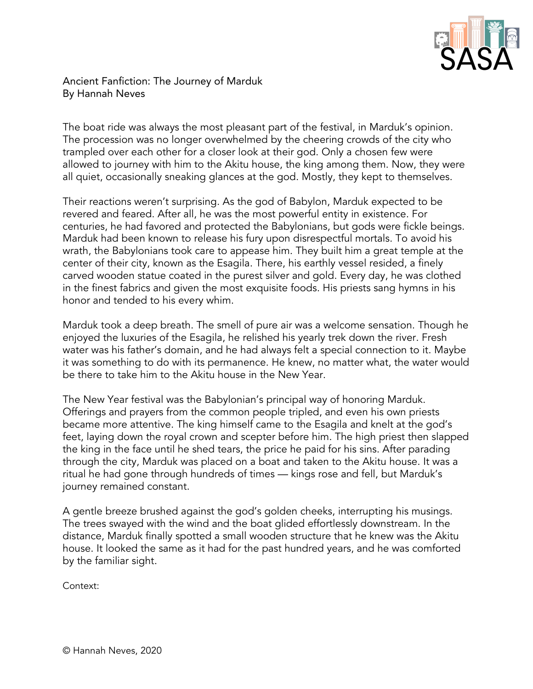

## Ancient Fanfiction: The Journey of Marduk By Hannah Neves

The boat ride was always the most pleasant part of the festival, in Marduk's opinion. The procession was no longer overwhelmed by the cheering crowds of the city who trampled over each other for a closer look at their god. Only a chosen few were allowed to journey with him to the Akitu house, the king among them. Now, they were all quiet, occasionally sneaking glances at the god. Mostly, they kept to themselves.

Their reactions weren't surprising. As the god of Babylon, Marduk expected to be revered and feared. After all, he was the most powerful entity in existence. For centuries, he had favored and protected the Babylonians, but gods were fickle beings. Marduk had been known to release his fury upon disrespectful mortals. To avoid his wrath, the Babylonians took care to appease him. They built him a great temple at the center of their city, known as the Esagila. There, his earthly vessel resided, a finely carved wooden statue coated in the purest silver and gold. Every day, he was clothed in the finest fabrics and given the most exquisite foods. His priests sang hymns in his honor and tended to his every whim.

Marduk took a deep breath. The smell of pure air was a welcome sensation. Though he enjoyed the luxuries of the Esagila, he relished his yearly trek down the river. Fresh water was his father's domain, and he had always felt a special connection to it. Maybe it was something to do with its permanence. He knew, no matter what, the water would be there to take him to the Akitu house in the New Year.

The New Year festival was the Babylonian's principal way of honoring Marduk. Offerings and prayers from the common people tripled, and even his own priests became more attentive. The king himself came to the Esagila and knelt at the god's feet, laying down the royal crown and scepter before him. The high priest then slapped the king in the face until he shed tears, the price he paid for his sins. After parading through the city, Marduk was placed on a boat and taken to the Akitu house. It was a ritual he had gone through hundreds of times — kings rose and fell, but Marduk's journey remained constant.

A gentle breeze brushed against the god's golden cheeks, interrupting his musings. The trees swayed with the wind and the boat glided effortlessly downstream. In the distance, Marduk finally spotted a small wooden structure that he knew was the Akitu house. It looked the same as it had for the past hundred years, and he was comforted by the familiar sight.

Context: